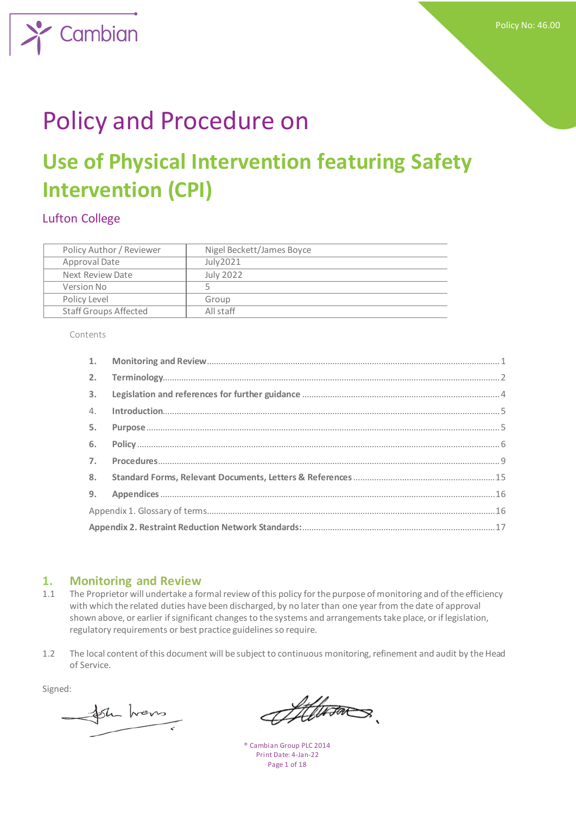

# Policy and Procedure on

# **Use of Physical Intervention featuring Safety Intervention (CPI)**

## Lufton College

| Policy Author / Reviewer     | Nigel Beckett/James Boyce |
|------------------------------|---------------------------|
| Approval Date                | July2021                  |
| Next Review Date             | <b>July 2022</b>          |
| Version No                   |                           |
| Policy Level                 | Group                     |
| <b>Staff Groups Affected</b> | All staff                 |

#### Contents

| 9. |  |  |
|----|--|--|
|    |  |  |
|    |  |  |
|    |  |  |

### <span id="page-0-0"></span>**1. Monitoring and Review**

- 1.1 The Proprietor will undertake a formal review of this policy for the purpose of monitoring and of the efficiency with which the related duties have been discharged, by no later than one year from the date of approval shown above, or earlier if significant changes to the systems and arrangements take place, or if legislation, regulatory requirements or best practice guidelines so require.
- 1.2 The local content of this document will be subject to continuous monitoring, refinement and audit by the Head of Service.

Signed:

the home

ffu <del>s</del>ar ⋝

® Cambian Group PLC 2014 Print Date: 4-Jan-22 Page 1 of 18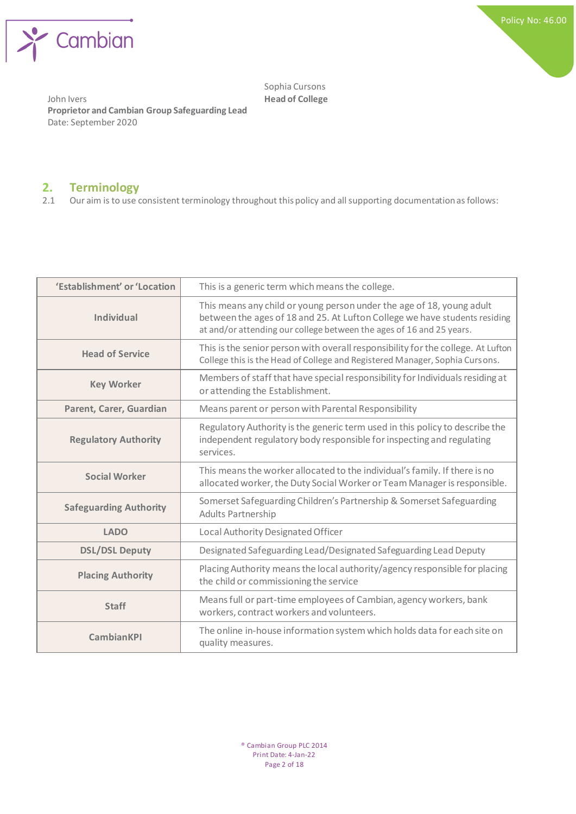

John Ivers

 $\overline{1}$ 

Sophia Cursons **Head of College**

Date: September 2020

**Proprietor and Cambian Group Safeguarding Lead**

<span id="page-1-0"></span>**2. Terminology**  2.1 Our aim is to use consistent terminology throughout this policy and all supporting documentation as follows:

| 'Establishment' or 'Location  | This is a generic term which means the college.                                                                                                                                                                             |
|-------------------------------|-----------------------------------------------------------------------------------------------------------------------------------------------------------------------------------------------------------------------------|
| <b>Individual</b>             | This means any child or young person under the age of 18, young adult<br>between the ages of 18 and 25. At Lufton College we have students residing<br>at and/or attending our college between the ages of 16 and 25 years. |
| <b>Head of Service</b>        | This is the senior person with overall responsibility for the college. At Lufton<br>College this is the Head of College and Registered Manager, Sophia Cursons.                                                             |
| <b>Key Worker</b>             | Members of staff that have special responsibility for Individuals residing at<br>or attending the Establishment.                                                                                                            |
| Parent, Carer, Guardian       | Means parent or person with Parental Responsibility                                                                                                                                                                         |
| <b>Regulatory Authority</b>   | Regulatory Authority is the generic term used in this policy to describe the<br>independent regulatory body responsible for inspecting and regulating<br>services.                                                          |
| <b>Social Worker</b>          | This means the worker allocated to the individual's family. If there is no<br>allocated worker, the Duty Social Worker or Team Manager is responsible.                                                                      |
| <b>Safeguarding Authority</b> | Somerset Safeguarding Children's Partnership & Somerset Safeguarding<br><b>Adults Partnership</b>                                                                                                                           |
| <b>LADO</b>                   | Local Authority Designated Officer                                                                                                                                                                                          |
| <b>DSL/DSL Deputy</b>         | Designated Safeguarding Lead/Designated Safeguarding Lead Deputy                                                                                                                                                            |
| <b>Placing Authority</b>      | Placing Authority means the local authority/agency responsible for placing<br>the child or commissioning the service                                                                                                        |
| <b>Staff</b>                  | Means full or part-time employees of Cambian, agency workers, bank<br>workers, contract workers and volunteers.                                                                                                             |
| <b>CambianKPI</b>             | The online in-house information system which holds data for each site on<br>quality measures.                                                                                                                               |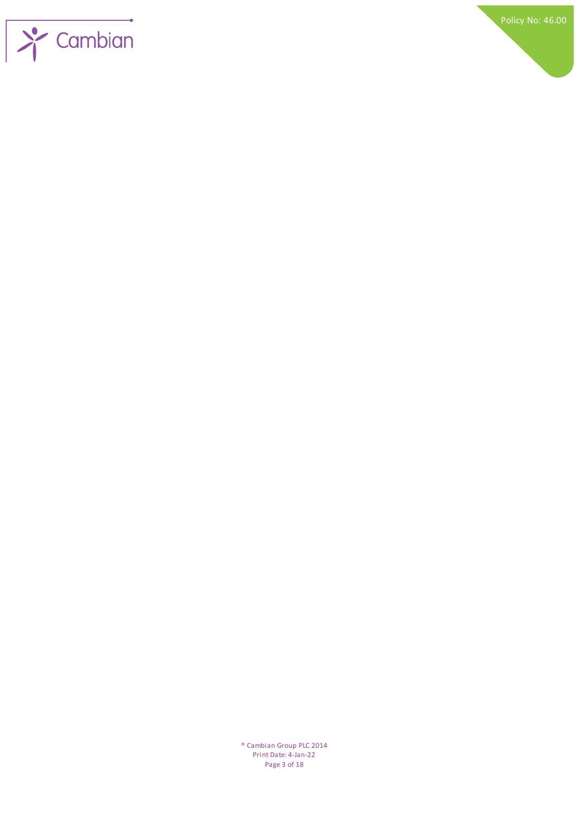

Policy No: 46.00

® Cambian Group PLC 2014 Print Date: 4-Jan-22 Page 3 of 18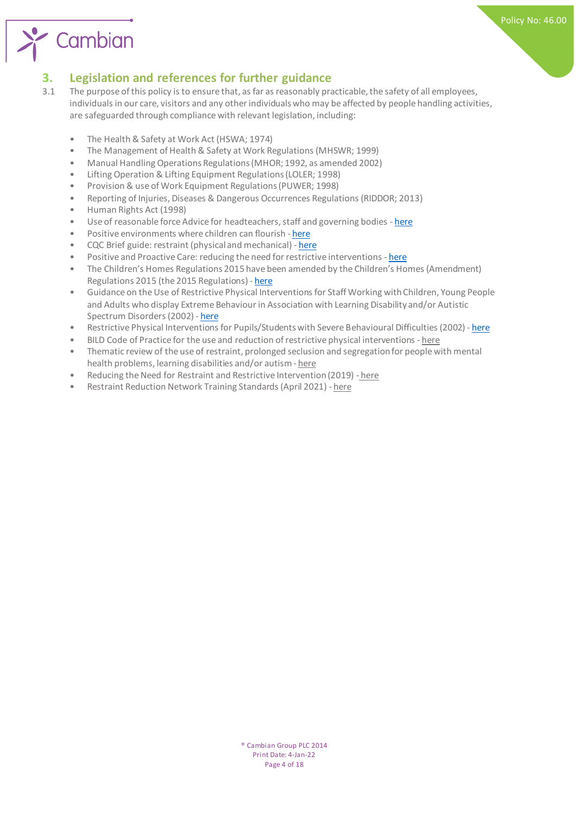# Cambian

# **3. Legislation and references for further guidance**<br>**3.1** The purpose of this policy is to ensure that, as far as reasonably pra

- <span id="page-3-0"></span>The purpose of this policy is to ensure that, as far as reasonably practicable, the safety of all employees, individuals in our care, visitors and any other individuals who may be affected by people handling activities, are safeguarded through compliance with relevant legislation, including:
	- The Health & Safety at Work Act (HSWA; 1974)
	- The Management of Health & Safety at Work Regulations (MHSWR; 1999)
	- Manual Handling Operations Regulations (MHOR; 1992, as amended 2002)
	- Lifting Operation & Lifting Equipment Regulations (LOLER; 1998)
	- Provision & use of Work Equipment Regulations (PUWER; 1998)
	- Reporting of Injuries, Diseases & Dangerous Occurrences Regulations (RIDDOR; 2013)
	- Human Rights Act (1998)
	- Use of reasonable force Advice for headteachers, staff and governing bodies [here](https://assets.publishing.service.gov.uk/government/uploads/system/uploads/attachment_data/file/444051/Use_of_reasonable_force_advice_Reviewed_July_2015.pdf)
	- Positive environments where children can flourish [here](https://assets.publishing.service.gov.uk/government/uploads/system/uploads/attachment_data/file/693446/Environments_where_children_can_flourish.pdf)
	- CQC Brief guide: restraint (physical and mechanical) [here](https://www.cqc.org.uk/sites/default/files/20180322_900803_briefguide-restraint_physical_mechanical_v1.pdf)
	- Positive and Proactive Care: reducing the need for restrictive interventions [here](https://assets.publishing.service.gov.uk/government/uploads/system/uploads/attachment_data/file/300293/JRA_DoH_Guidance_on_RP_web_accessible.pdf)
	- The Children's Homes Regulations 2015 have been amended by the Children's Homes (Amendment) Regulations 2015 (the 2015 Regulations) - [here](http://www.legislation.gov.uk/uksi/2015/541/contents/made)
	- Guidance on the Use of Restrictive Physical Interventions for Staff Working with Children, Young People and Adults who display Extreme Behaviour in Association with Learning Disability and/or Autistic Spectrum Disorders (2002) - [here](http://dera.ioe.ac.uk/15434/1/guidance%20on%20the%20use%20of%20restrictive%20physical%20interventions.pdf)
	- Restrictive Physical Interventions for Pupils/Students with Severe Behavioural Difficulties (2002) [here](http://dera.ioe.ac.uk/15433/1/guidance%20on%20the%20use%20of%20restrictive%20physical%20interventions%20for%20pupils%20with%20severe%20behavioural%20difficulties_2003.pdf)
	- BILD Code of Practice for the use and reduction of restrictive physical interventions [here](http://www.bild.org.uk/our-services/books/positive-behaviour-support/bild-code-of-practice)
	- Thematic review of the use of restraint, prolonged seclusion and segregation for people with mental health problems, learning disabilities and/or autism- [here](https://www.cqc.org.uk/sites/default/files/20181203_restraint-thematic_tor.pdf)
	- Reducing the Need for Restraint and Restrictive Intervention (2019) [here](https://assets.publishing.service.gov.uk/government/uploads/system/uploads/attachment_data/file/812435/reducing-the-need-for-restraint-and-restrictive-intervention.pdf)
	- Restraint Reduction Network Training Standards (April 2021) [here](https://restraintreductionnetwork.org/know-the-standard-2/)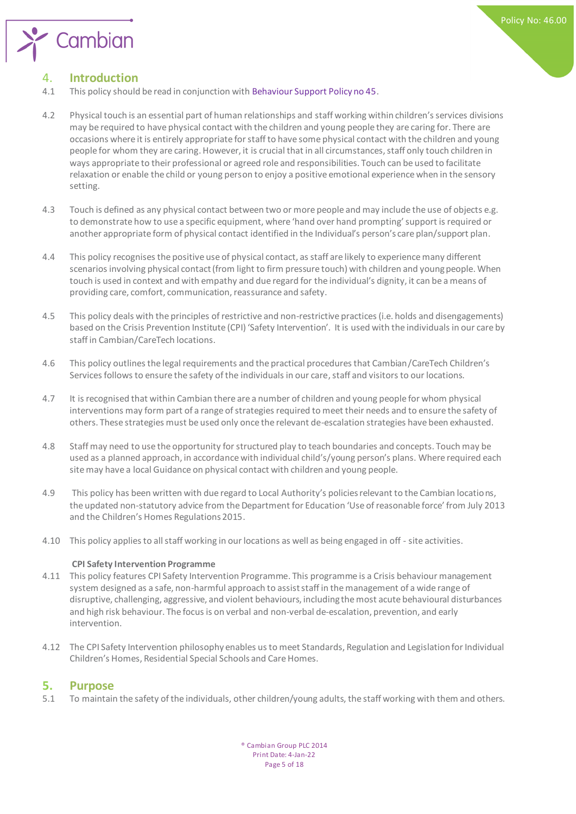

### <span id="page-4-0"></span>4. **Introduction**

- 4.1 This policy should be read in conjunction with Behaviour Support Policy no 45.
- 4.2 Physical touch is an essential part of human relationships and staff working within children's services divisions may be required to have physical contact with the children and young people they are caring for. There are occasions where it is entirely appropriate for staff to have some physical contact with the children and young people for whom they are caring. However, it is crucial that in all circumstances, staff only touch children in ways appropriate to their professional or agreed role and responsibilities. Touch can be used to facilitate relaxation or enable the child or young person to enjoy a positive emotional experience when in the sensory setting.
- 4.3 Touch is defined as any physical contact between two or more people and may include the use of objects e.g. to demonstrate how to use a specific equipment, where 'hand over hand prompting' support is required or another appropriate form of physical contact identified in the Individual's person's care plan/support plan.
- 4.4 This policy recognises the positive use of physical contact, as staff are likely to experience many different scenarios involving physical contact (from light to firm pressure touch) with children and young people. When touch is used in context and with empathy and due regard for the individual's dignity, it can be a means of providing care, comfort, communication, reassurance and safety.
- 4.5 This policy deals with the principles of restrictive and non-restrictive practices (i.e. holds and disengagements) based on the Crisis Prevention Institute (CPI) 'Safety Intervention'. It is used with the individuals in our care by staff in Cambian/CareTech locations.
- 4.6 This policy outlines the legal requirements and the practical procedures that Cambian/CareTech Children's Services follows to ensure the safety of the individuals in our care, staff and visitors to our locations.
- 4.7 It is recognised that within Cambian there are a number of children and young people for whom physical interventions may form part of a range of strategies required to meet their needs and to ensure the safety of others. These strategies must be used only once the relevant de-escalation strategies have been exhausted.
- 4.8 Staff may need to use the opportunity for structured play to teach boundaries and concepts. Touch may be used as a planned approach, in accordance with individual child's/young person's plans. Where required each site may have a local Guidance on physical contact with children and young people.
- 4.9 This policy has been written with due regard to Local Authority's policies relevant to the Cambian locations, the updated non-statutory advice from the Department for Education 'Use of reasonable force' from July 2013 and the Children's Homes Regulations 2015.
- 4.10 This policy applies to all staff working in our locations as well as being engaged in off site activities.

#### **CPI Safety Intervention Programme**

- 4.11 This policy features CPI Safety Intervention Programme. This programme is a Crisis behaviour management system designed as a safe, non-harmful approach to assist staff in the management of a wide range of disruptive, challenging, aggressive, and violent behaviours, including the most acute behavioural disturbances and high risk behaviour. The focus is on verbal and non-verbal de-escalation, prevention, and early intervention.
- 4.12 The CPI Safety Intervention philosophy enables us to meet Standards, Regulation and Legislation for Individual Children's Homes, Residential Special Schools and Care Homes.

# <span id="page-4-1"></span>**5. Purpose**

5.1 To maintain the safety of the individuals, other children/young adults, the staff working with them and others.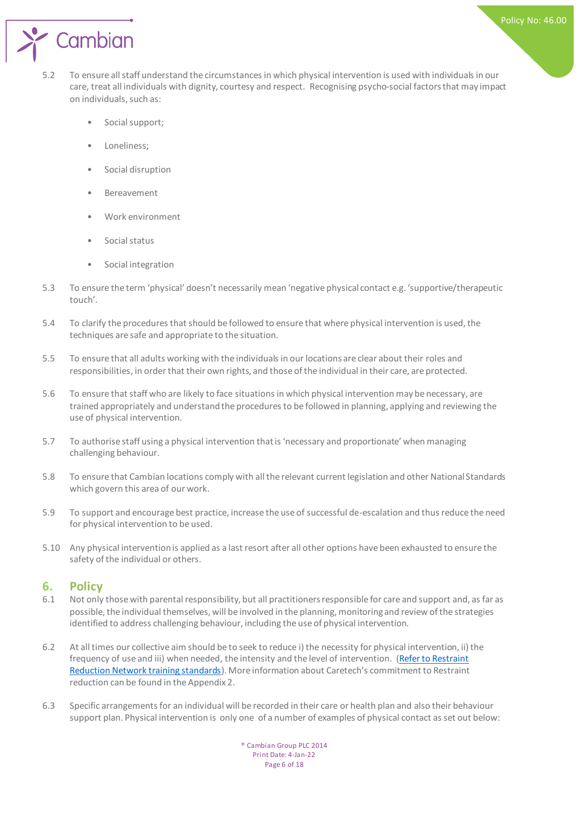

5.2 To ensure all staff understand the circumstances in which physical intervention is used with individuals in our care, treat all individuals with dignity, courtesy and respect. Recognising psycho-social factors that may impact on individuals, such as:

Policy No: 46.00

- Social support;
- Loneliness;
- Social disruption
- Bereavement
- Work environment
- Social status
- Social integration
- 5.3 To ensure the term 'physical' doesn't necessarily mean 'negative physical contact e.g. 'supportive/therapeutic touch'.
- 5.4 To clarify the procedures that should be followed to ensure that where physical intervention is used, the techniques are safe and appropriate to the situation.
- 5.5 To ensure that all adults working with the individuals in our locations are clear about their roles and responsibilities, in order that their own rights, and those of the individual in their care, are protected.
- 5.6 To ensure that staff who are likely to face situations in which physical intervention may be necessary, are trained appropriately and understand the procedures to be followed in planning, applying and reviewing the use of physical intervention.
- 5.7 To authorise staff using a physical intervention that is 'necessary and proportionate' when managing challenging behaviour.
- 5.8 To ensure that Cambian locations comply with all the relevant current legislation and other National Standards which govern this area of our work.
- 5.9 To support and encourage best practice, increase the use of successful de-escalation and thus reduce the need for physical intervention to be used.
- 5.10 Any physical intervention is applied as a last resort after all other options have been exhausted to ensure the safety of the individual or others.

## <span id="page-5-0"></span>**6. Policy**

- Not only those with parental responsibility, but all practitioners responsible for care and support and, as far as possible, the individual themselves, will be involved in the planning, monitoring and review of the strategies identified to address challenging behaviour, including the use of physical intervention.
- 6.2 At all times our collective aim should be to seek to reduce i) the necessity for physical intervention, ii) the frequency of use and iii) when needed, the intensity and the level of intervention. (Refer to Restraint [Reduction Network training standards\)](https://restraintreductionnetwork.org/know-the-standard/). More information about Caretech's commitment to Restraint reduction can be found in the Appendix 2.
- 6.3 Specific arrangements for an individual will be recorded in their care or health plan and also their behaviour support plan. Physical intervention is only one of a number of examples of physical contact as set out below:

® Cambian Group PLC 2014 Print Date: 4-Jan-22 Page 6 of 18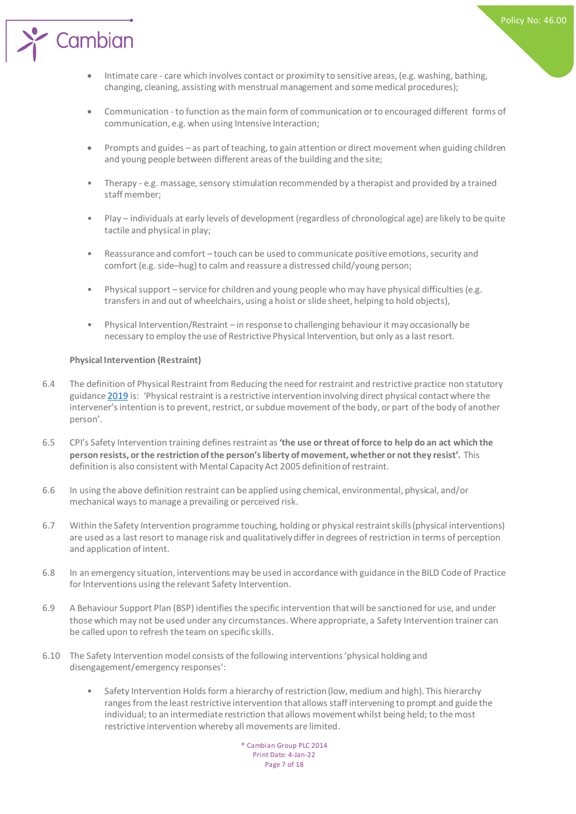

- Intimate care care which involves contact or proximity to sensitive areas, (e.g. washing, bathing, changing, cleaning, assisting with menstrual management and some medical procedures);
- Communication -to function as the main form of communication or to encouraged different forms of communication, e.g. when using Intensive Interaction;

Policy No: 46.00

- Prompts and guides as part of teaching, to gain attention or direct movement when guiding children and young people between different areas of the building and the site;
- Therapy e.g. massage, sensory stimulation recommended by a therapist and provided by a trained staff member;
- Play individuals at early levels of development (regardless of chronological age) are likely to be quite tactile and physical in play;
- Reassurance and comfort touch can be used to communicate positive emotions, security and comfort (e.g. side–hug) to calm and reassure a distressed child/young person;
- Physical support service for children and young people who may have physical difficulties (e.g. transfers in and out of wheelchairs, using a hoist or slide sheet, helping to hold objects),
- Physical Intervention/Restraint in response to challenging behaviour it may occasionally be necessary to employ the use of Restrictive Physical Intervention, but only as a last resort.

#### **Physical Intervention (Restraint)**

- 6.4 The definition of Physical Restraint from Reducing the need for restraint and restrictive practice non statutory guidanc[e 2019](https://assets.publishing.service.gov.uk/government/uploads/system/uploads/attachment_data/file/812435/reducing-the-need-for-restraint-and-restrictive-intervention.pdf) is: 'Physical restraint is a restrictive intervention involving direct physical contact where the intervener's intention is to prevent, restrict, or subdue movement of the body, or part of the body of another person'.
- 6.5 CPI's Safety Intervention training defines restraint as **'the use or threat of force to help do an act which the person resists, or the restriction of the person's liberty of movement, whether or not they resist'.** This definition is also consistent with Mental Capacity Act 2005 definition of restraint.
- 6.6 In using the above definition restraint can be applied using chemical, environmental, physical, and/or mechanical ways to manage a prevailing or perceived risk.
- 6.7 Within the Safety Intervention programme touching, holding or physical restraint skills (physical interventions) are used as a last resort to manage risk and qualitatively differ in degrees of restriction in terms of perception and application of intent.
- 6.8 In an emergency situation, interventions may be used in accordance with guidance in the BILD Code of Practice for Interventions using the relevant Safety Intervention.
- 6.9 A Behaviour Support Plan (BSP) identifies the specific intervention that will be sanctioned for use, and under those which may not be used under any circumstances. Where appropriate, a Safety Intervention trainer can be called upon to refresh the team on specific skills.
- 6.10 The Safety Intervention model consists of the following interventions 'physical holding and disengagement/emergency responses':
	- Safety Intervention Holds form a hierarchy of restriction (low, medium and high). This hierarchy ranges from the least restrictive intervention that allows staff intervening to prompt and guide the individual; to an intermediate restriction that allows movement whilst being held; to the most restrictive intervention whereby all movements are limited.

® Cambian Group PLC 2014 Print Date: 4-Jan-22 Page 7 of 18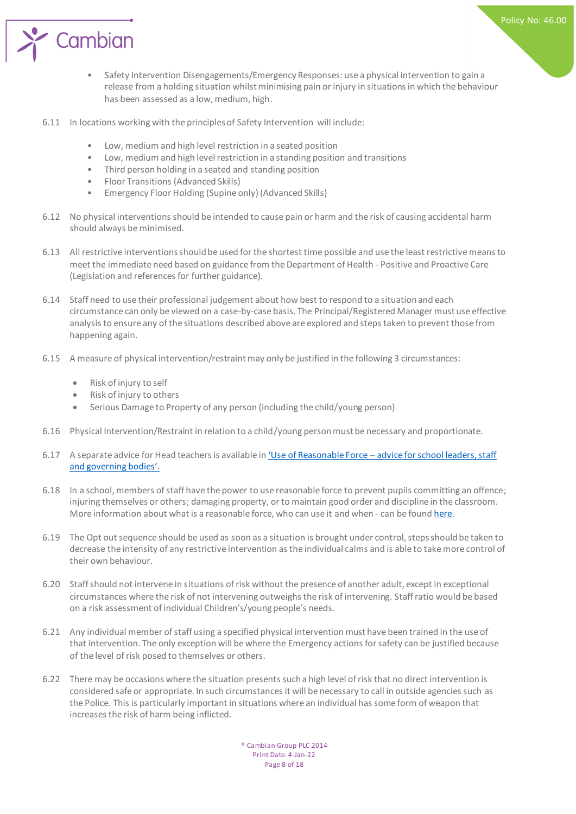

• Safety Intervention Disengagements/Emergency Responses: use a physical intervention to gain a release from a holding situation whilst minimising pain or injury in situations in which the behaviour has been assessed as a low, medium, high.

Policy No: 46.00

- 6.11 In locations working with the principles of Safety Intervention will include:
	- Low, medium and high level restriction in a seated position
	- Low, medium and high level restriction in a standing position and transitions
	- Third person holding in a seated and standing position
	- Floor Transitions (Advanced Skills)
	- Emergency Floor Holding (Supine only) (Advanced Skills)
- 6.12 No physical interventions should be intended to cause pain or harm and the risk of causing accidental harm should always be minimised.
- 6.13 All restrictive interventions should be used for the shortest time possible and use the least restrictive means to meet the immediate need based on guidance from the Department of Health - Positive and Proactive Care (Legislation and references for further guidance).
- 6.14 Staff need to use their professional judgement about how best to respond to a situation and each circumstance can only be viewed on a case-by-case basis. The Principal/Registered Manager must use effective analysis to ensure any of the situations described above are explored and steps taken to prevent those from happening again.
- 6.15 A measure of physical intervention/restraint may only be justified in the following 3 circumstances:
	- Risk of injury to self
	- Risk of injury to others
	- Serious Damage to Property of any person (including the child/young person)
- 6.16 Physical Intervention/Restraint in relation to a child/young person must be necessary and proportionate.
- 6.17 A separate advice for Head teachers is available in 'Use of Reasonable Force [advice for school leaders, staff](https://assets.publishing.service.gov.uk/government/uploads/system/uploads/attachment_data/file/444051/Use_of_reasonable_force_advice_Reviewed_July_2015.pdf)  [and governing bodies'.](https://assets.publishing.service.gov.uk/government/uploads/system/uploads/attachment_data/file/444051/Use_of_reasonable_force_advice_Reviewed_July_2015.pdf)
- 6.18 In a school, members of staff have the power to use reasonable force to prevent pupils committing an offence; injuring themselves or others; damaging property, or to maintain good order and discipline in the classroom. More information about what is a reasonable force, who can use it and when - can be foun[d here.](https://assets.publishing.service.gov.uk/government/uploads/system/uploads/attachment_data/file/444051/Use_of_reasonable_force_advice_Reviewed_July_2015.pdf)
- 6.19 The Opt out sequence should be used as soon as a situation is brought under control, steps should be taken to decrease the intensity of any restrictive intervention as the individual calms and is able to take more control of their own behaviour.
- 6.20 Staff should not intervene in situations of risk without the presence of another adult, except in exceptional circumstances where the risk of not intervening outweighs the risk of intervening. Staff ratio would be based on a risk assessment of individual Children's/young people's needs.
- 6.21 Any individual member of staff using a specified physical intervention must have been trained in the use of that intervention. The only exception will be where the Emergency actions for safety can be justified because of the level of risk posed to themselves or others.
- 6.22 There may be occasions where the situation presents such a high level of risk that no direct intervention is considered safe or appropriate. In such circumstances it will be necessary to call in outside agencies such as the Police. This is particularly important in situations where an individual has some form of weapon that increases the risk of harm being inflicted.

® Cambian Group PLC 2014 Print Date: 4-Jan-22 Page 8 of 18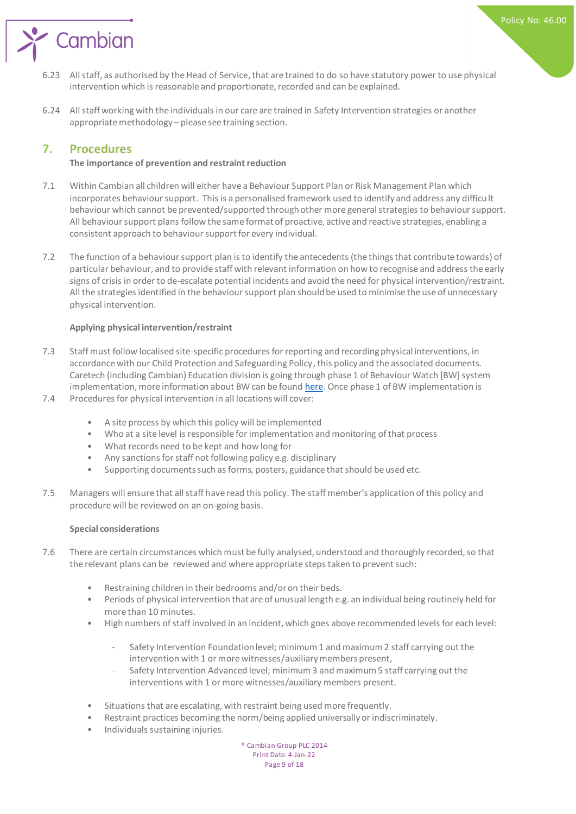

6.23 All staff, as authorised by the Head of Service, that are trained to do so have statutory power to use physical intervention which is reasonable and proportionate, recorded and can be explained.

Policy No: 46.00

6.24 All staff working with the individuals in our care are trained in Safety Intervention strategies or another appropriate methodology – please see training section.

### **7. Procedures**

#### <span id="page-8-0"></span>**The importance of prevention and restraint reduction**

- 7.1 Within Cambian all children will either have a Behaviour Support Plan or Risk Management Plan which incorporates behaviour support. This is a personalised framework used to identify and address any difficult behaviour which cannot be prevented/supported through other more general strategies to behaviour support. All behaviour support plans follow the same format of proactive, active and reactive strategies, enabling a consistent approach to behaviour support for every individual.
- 7.2 The function of a behaviour support plan is to identify the antecedents (the things that contribute towards) of particular behaviour, and to provide staff with relevant information on how to recognise and address the early signs of crisis in order to de-escalate potential incidents and avoid the need for physical intervention/restraint. All the strategies identified in the behaviour support plan should be used to minimise the use of unnecessary physical intervention.

#### **Applying physical intervention/restraint**

- 7.3 Staff must follow localised site-specific procedures for reporting and recording physical interventions, in accordance with our Child Protection and Safeguarding Policy, this policy and the associated documents. Caretech (including Cambian) Education division is going through phase 1 of Behaviour Watch [BW] system implementation, more information about BW can be found [here.](https://eduspot.co.uk/product/behaviourwatch/) Once phase 1 of BW implementation is
- 7.4 Procedures for physical intervention in all locations will cover:
	- A site process by which this policy will be implemented
	- Who at a site level is responsible for implementation and monitoring of that process
	- What records need to be kept and how long for
	- Any sanctions for staff not following policy e.g. disciplinary
	- Supporting documents such as forms, posters, guidance that should be used etc.
- 7.5 Managers will ensure that all staff have read this policy. The staff member's application of this policy and procedure will be reviewed on an on-going basis.

#### **Special considerations**

- 7.6 There are certain circumstances which must be fully analysed, understood and thoroughly recorded, so that the relevant plans can be reviewed and where appropriate steps taken to prevent such:
	- Restraining children in their bedrooms and/or on their beds.
	- Periods of physical intervention that are of unusual length e.g. an individual being routinely held for more than 10 minutes.
	- High numbers of staff involved in an incident, which goes above recommended levels for each level:
		- Safety Intervention Foundation level; minimum 1 and maximum 2 staff carrying out the intervention with 1 or more witnesses/auxiliary members present,
		- Safety Intervention Advanced level; minimum 3 and maximum 5 staff carrying out the interventions with 1 or more witnesses/auxiliary members present.
	- Situations that are escalating, with restraint being used more frequently.
	- Restraint practices becoming the norm/being applied universally or indiscriminately.
	- Individuals sustaining injuries.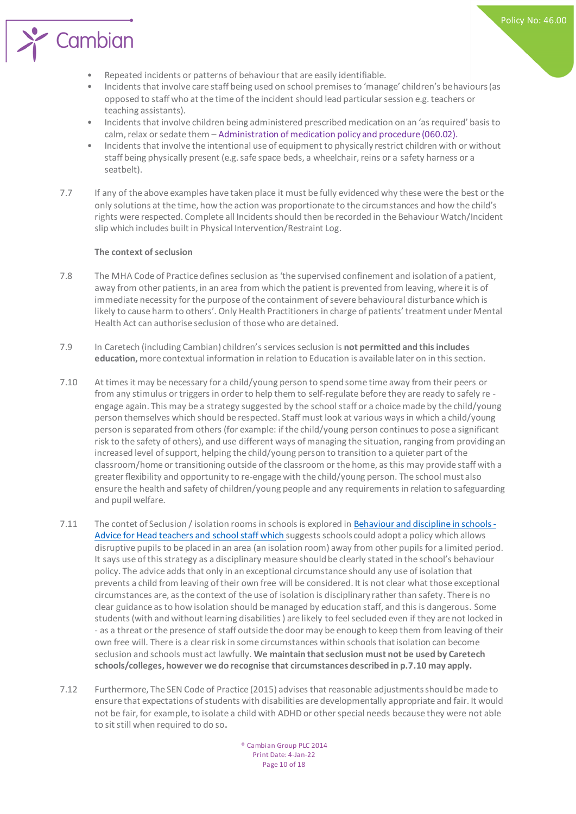- Repeated incidents or patterns of behaviour that are easily identifiable.
- Incidents that involve care staff being used on school premises to 'manage' children's behaviours (as opposed to staff who at the time of the incident should lead particular session e.g. teachers or teaching assistants).
- Incidents that involve children being administered prescribed medication on an 'as required' basis to calm, relax or sedate them – Administration of medication policy and procedure (060.02).
- Incidents that involve the intentional use of equipment to physically restrict children with or without staff being physically present (e.g. safe space beds, a wheelchair, reins or a safety harness or a seatbelt).
- 7.7 If any of the above examples have taken place it must be fully evidenced why these were the best or the only solutions at the time, how the action was proportionate to the circumstances and how the child's rights were respected. Complete all Incidents should then be recorded in the Behaviour Watch/Incident slip which includes built in Physical Intervention/Restraint Log.

#### **The context of seclusion**

Cambian

- 7.8 The MHA Code of Practice defines seclusion as 'the supervised confinement and isolation of a patient, away from other patients, in an area from which the patient is prevented from leaving, where it is of immediate necessity for the purpose of the containment of severe behavioural disturbance which is likely to cause harm to others'. Only Health Practitioners in charge of patients' treatment under Mental Health Act can authorise seclusion of those who are detained.
- 7.9 In Caretech (including Cambian) children's services seclusion is **not permitted and this includes education,** more contextual information in relation to Education is available later on in this section.
- 7.10 At times it may be necessary for a child/young person to spend some time away from their peers or from any stimulus or triggers in order to help them to self-regulate before they are ready to safely re engage again. This may be a strategy suggested by the school staff or a choice made by the child/young person themselves which should be respected. Staff must look at various ways in which a child/young person is separated from others (for example: if the child/young person continues to pose a significant risk to the safety of others), and use different ways of managing the situation, ranging from providing an increased level of support, helping the child/young person to transition to a quieter part of the classroom/home or transitioning outside of the classroom or the home, as this may provide staff with a greater flexibility and opportunity to re-engage with the child/young person. The school must also ensure the health and safety of children/young people and any requirements in relation to safeguarding and pupil welfare.
- 7.11 The contet of Seclusion / isolation rooms in schools is explored i[n Behaviour and discipline in schools -](https://assets.publishing.service.gov.uk/government/uploads/system/uploads/attachment_data/file/488034/Behaviour_and_Discipline_in_Schools_-_A_guide_for_headteachers_and_School_Staff.pdf) [Advice for Head teachers and school staff](https://assets.publishing.service.gov.uk/government/uploads/system/uploads/attachment_data/file/488034/Behaviour_and_Discipline_in_Schools_-_A_guide_for_headteachers_and_School_Staff.pdf) which suggests schools could adopt a policy which allows disruptive pupils to be placed in an area (an isolation room) away from other pupils for a limited period. It says use of this strategy as a disciplinary measure should be clearly stated in the school's behaviour policy. The advice adds that only in an exceptional circumstance should any use of isolation that prevents a child from leaving of their own free will be considered. It is not clear what those exceptional circumstances are, as the context of the use of isolation is disciplinary rather than safety. There is no clear guidance as to how isolation should be managed by education staff, and this is dangerous. Some students (with and without learning disabilities ) are likely to feel secluded even if they are not locked in - as a threat or the presence of staff outside the door may be enough to keep them from leaving of their own free will. There is a clear risk in some circumstances within schools that isolation can become seclusion and schools must act lawfully. **We maintain that seclusion must not be used by Caretech schools/colleges, however we do recognise that circumstances described in p.7.10 may apply.**
- 7.12 Furthermore, The SEN Code of Practice (2015) advises that reasonable adjustments should be made to ensure that expectations of students with disabilities are developmentally appropriate and fair. It would not be fair, for example, to isolate a child with ADHD or other special needs because they were not able to sit still when required to do so**.**

® Cambian Group PLC 2014 Print Date: 4-Jan-22 Page 10 of 18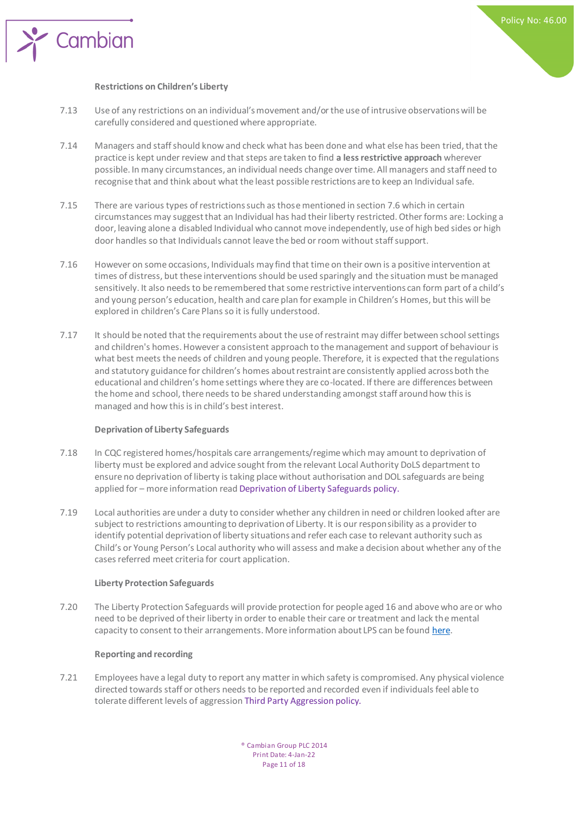

#### **Restrictions on Children's Liberty**

- 7.13 Use of any restrictions on an individual's movement and/or the use of intrusive observations will be carefully considered and questioned where appropriate.
- 7.14 Managers and staff should know and check what has been done and what else has been tried, that the practice is kept under review and that steps are taken to find **a less restrictive approach** wherever possible. In many circumstances, an individual needs change over time. All managers and staff need to recognise that and think about what the least possible restrictions are to keep an Individual safe.
- 7.15 There are various types of restrictions such as those mentioned in section 7.6 which in certain circumstances may suggest that an Individual has had their liberty restricted. Other forms are: Locking a door, leaving alone a disabled Individual who cannot move independently, use of high bed sides or high door handles so that Individuals cannot leave the bed or room without staff support.
- 7.16 However on some occasions, Individuals may find that time on their own is a positive intervention at times of distress, but these interventions should be used sparingly and the situation must be managed sensitively. It also needs to be remembered that some restrictive interventions can form part of a child's and young person's education, health and care plan for example in Children's Homes, but this will be explored in children's Care Plans so it is fully understood.
- 7.17 It should be noted that the requirements about the use of restraint may differ between school settings and children's homes. However a consistent approach to the management and support of behaviour is what best meets the needs of children and young people. Therefore, it is expected that the regulations and statutory guidance for children's homes about restraint are consistently applied across both the educational and children's home settings where they are co-located. If there are differences between the home and school, there needs to be shared understanding amongst staff around how this is managed and how this is in child's best interest.

#### **Deprivation of Liberty Safeguards**

- 7.18 In CQC registered homes/hospitals care arrangements/regime which may amount to deprivation of liberty must be explored and advice sought from the relevant Local Authority DoLS department to ensure no deprivation of liberty is taking place without authorisation and DOL safeguards are being applied for – more information read Deprivation of Liberty Safeguards policy.
- 7.19 Local authorities are under a duty to consider whether any children in need or children looked after are subject to restrictions amounting to deprivation of Liberty. It is our responsibility as a provider to identify potential deprivation of liberty situations and refer each case to relevant authority such as Child's or Young Person's Local authority who will assess and make a decision about whether any of the cases referred meet criteria for court application.

#### **Liberty Protection Safeguards**

7.20 The Liberty Protection Safeguards will provide protection for people aged 16 and above who are or who need to be deprived of their liberty in order to enable their care or treatment and lack the mental capacity to consent to their arrangements. More information about LPS can be foun[d here.](https://www.gov.uk/government/publications/liberty-protection-safeguards-factsheets/liberty-protection-safeguards-what-they-are)

#### **Reporting and recording**

7.21 Employees have a legal duty to report any matter in which safety is compromised. Any physical violence directed towards staff or others needs to be reported and recorded even if individuals feel able to tolerate different levels of aggression Third Party Aggression policy.

> ® Cambian Group PLC 2014 Print Date: 4-Jan-22 Page 11 of 18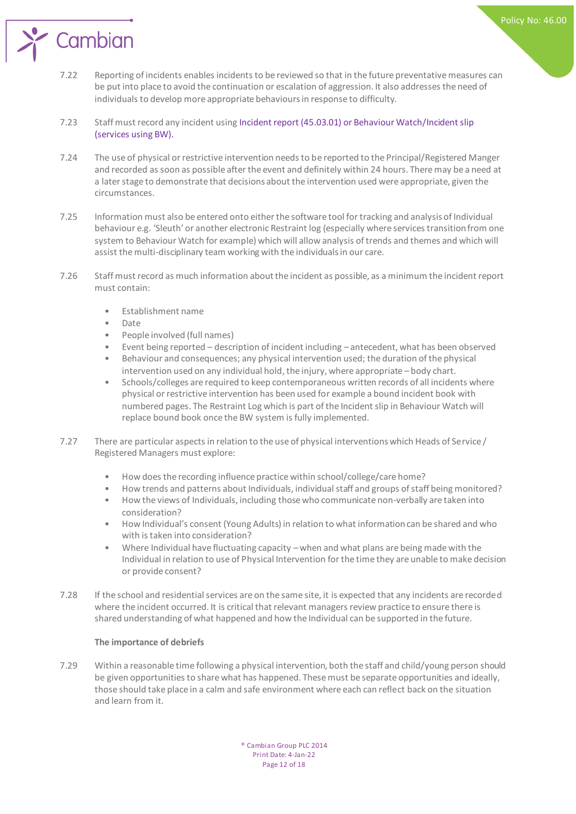7.22 Reporting of incidents enables incidents to be reviewed so that in the future preventative measures can be put into place to avoid the continuation or escalation of aggression. It also addresses the need of individuals to develop more appropriate behaviours in response to difficulty.

Policy No: 46.00

- 7.23 Staff must record any incident using Incident report (45.03.01) or Behaviour Watch/Incident slip (services using BW).
- 7.24 The use of physical or restrictive intervention needs to be reported to the Principal/Registered Manger and recorded as soon as possible after the event and definitely within 24 hours. There may be a need at a later stage to demonstrate that decisions about the intervention used were appropriate, given the circumstances.
- 7.25 Information must also be entered onto either the software tool for tracking and analysis of Individual behaviour e.g. 'Sleuth' or another electronic Restraint log (especially where services transition from one system to Behaviour Watch for example) which will allow analysis of trends and themes and which will assist the multi-disciplinary team working with the individuals in our care.
- 7.26 Staff must record as much information about the incident as possible, as a minimum the incident report must contain:
	- Establishment name
	- Date

Cambian

- People involved (full names)
- Event being reported description of incident including antecedent, what has been observed
- Behaviour and consequences; any physical intervention used; the duration of the physical intervention used on any individual hold, the injury, where appropriate – body chart.
- Schools/colleges are required to keep contemporaneous written records of all incidents where physical or restrictive intervention has been used for example a bound incident book with numbered pages. The Restraint Log which is part of the Incident slip in Behaviour Watch will replace bound book once the BW system is fully implemented.
- 7.27 There are particular aspects in relation to the use of physical interventions which Heads of Service / Registered Managers must explore:
	- How does the recording influence practice within school/college/care home?
	- How trends and patterns about Individuals, individual staff and groups of staff being monitored?
	- How the views of Individuals, including those who communicate non-verbally are taken into consideration?
	- How Individual's consent (Young Adults) in relation to what information can be shared and who with is taken into consideration?
	- Where Individual have fluctuating capacity when and what plans are being made with the Individual in relation to use of Physical Intervention for the time they are unable to make decision or provide consent?
- 7.28 If the school and residential services are on the same site, it is expected that any incidents are recorded where the incident occurred. It is critical that relevant managers review practice to ensure there is shared understanding of what happened and how the Individual can be supported in the future.

#### **The importance of debriefs**

7.29 Within a reasonable time following a physical intervention, both the staff and child/young person should be given opportunities to share what has happened. These must be separate opportunities and ideally, those should take place in a calm and safe environment where each can reflect back on the situation and learn from it.

> ® Cambian Group PLC 2014 Print Date: 4-Jan-22 Page 12 of 18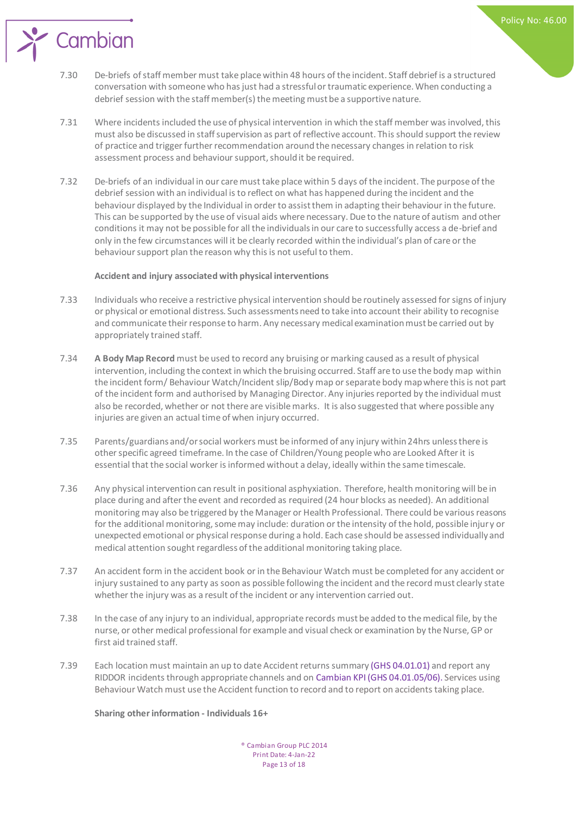7.30 De-briefs of staff member must take place within 48 hours of the incident. Staff debrief is a structured conversation with someone who has just had a stressful or traumatic experience. When conducting a debrief session with the staff member(s) the meeting must be a supportive nature.

Policy No: 46.00

- 7.31 Where incidents included the use of physical intervention in which the staff member was involved, this must also be discussed in staff supervision as part of reflective account. This should support the review of practice and trigger further recommendation around the necessary changes in relation to risk assessment process and behaviour support, should it be required.
- 7.32 De-briefs of an individual in our care must take place within 5 days of the incident. The purpose of the debrief session with an individual is to reflect on what has happened during the incident and the behaviour displayed by the Individual in order to assist them in adapting their behaviour in the future. This can be supported by the use of visual aids where necessary. Due to the nature of autism and other conditions it may not be possible for all the individuals in our care to successfully access a de-brief and only in the few circumstances will it be clearly recorded within the individual's plan of care or the behaviour support plan the reason why this is not useful to them.

#### **Accident and injury associated with physical interventions**

Cambian

- 7.33 Individuals who receive a restrictive physical intervention should be routinely assessed for signs of injury or physical or emotional distress. Such assessments need to take into account their ability to recognise and communicate their response to harm. Any necessary medical examination must be carried out by appropriately trained staff.
- 7.34 **A Body Map Record** must be used to record any bruising or marking caused as a result of physical intervention, including the context in which the bruising occurred. Staff are to use the body map within the incident form/ Behaviour Watch/Incident slip/Body map or separate body map where this is not part of the incident form and authorised by Managing Director. Any injuries reported by the individual must also be recorded, whether or not there are visible marks. It is also suggested that where possible any injuries are given an actual time of when injury occurred.
- 7.35 Parents/guardians and/or social workers must be informed of any injury within 24hrs unless there is other specific agreed timeframe. In the case of Children/Young people who are Looked After it is essential that the social worker is informed without a delay, ideally within the same timescale.
- 7.36 Any physical intervention can result in positional asphyxiation. Therefore, health monitoring will be in place during and after the event and recorded as required (24 hour blocks as needed). An additional monitoring may also be triggered by the Manager or Health Professional. There could be various reasons for the additional monitoring, some may include: duration or the intensity of the hold, possible injury or unexpected emotional or physical response during a hold. Each case should be assessed individually and medical attention sought regardless of the additional monitoring taking place.
- 7.37 An accident form in the accident book or in the Behaviour Watch must be completed for any accident or injury sustained to any party as soon as possible following the incident and the record must clearly state whether the injury was as a result of the incident or any intervention carried out.
- 7.38 In the case of any injury to an individual, appropriate records must be added to the medical file, by the nurse, or other medical professional for example and visual check or examination by the Nurse, GP or first aid trained staff.
- 7.39 Each location must maintain an up to date Accident returns summary (GHS 04.01.01) and report any RIDDOR incidents through appropriate channels and on Cambian KPI (GHS 04.01.05/06). Services using Behaviour Watch must use the Accident function to record and to report on accidents taking place.

#### **Sharing other information - Individuals 16+**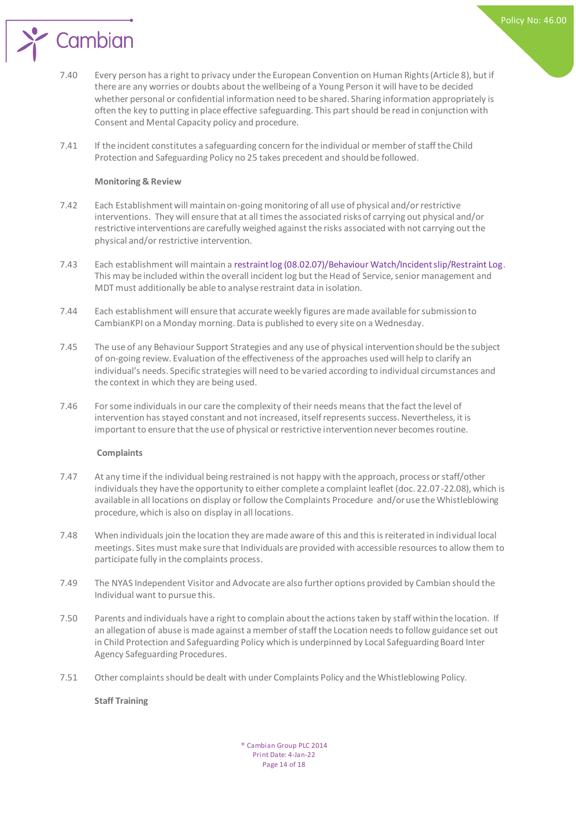

- 7.40 Every person has a right to privacy under the European Convention on Human Rights (Article 8), but if there are any worries or doubts about the wellbeing of a Young Person it will have to be decided whether personal or confidential information need to be shared. Sharing information appropriately is often the key to putting in place effective safeguarding. This part should be read in conjunction with Consent and Mental Capacity policy and procedure.
- 7.41 If the incident constitutes a safeguarding concern for the individual or member of staff the Child Protection and Safeguarding Policy no 25 takes precedent and should be followed.

#### **Monitoring & Review**

- 7.42 Each Establishment will maintain on-going monitoring of all use of physical and/or restrictive interventions. They will ensure that at all times the associated risks of carrying out physical and/or restrictive interventions are carefully weighed against the risks associated with not carrying out the physical and/or restrictive intervention.
- 7.43 Each establishment will maintain a restraint log (08.02.07)/Behaviour Watch/Incident slip/Restraint Log. This may be included within the overall incident log but the Head of Service, senior management and MDT must additionally be able to analyse restraint data in isolation.
- 7.44 Each establishment will ensure that accurate weekly figures are made available for submission to CambianKPI on a Monday morning. Data is published to every site on a Wednesday.
- 7.45 The use of any Behaviour Support Strategies and any use of physical intervention should be the subject of on-going review. Evaluation of the effectiveness of the approaches used will help to clarify an individual's needs. Specific strategies will need to be varied according to individual circumstances and the context in which they are being used.
- 7.46 For some individuals in our care the complexity of their needs means that the fact the level of intervention has stayed constant and not increased, itself represents success. Nevertheless, it is important to ensure that the use of physical or restrictive intervention never becomes routine.

#### **Complaints**

- 7.47 At any time if the individual being restrained is not happy with the approach, process or staff/other individuals they have the opportunity to either complete a complaint leaflet (doc. 22.07-22.08), which is available in all locations on display or follow the Complaints Procedure and/or use the Whistleblowing procedure, which is also on display in all locations.
- 7.48 When individuals join the location they are made aware of this and this is reiterated in individual local meetings. Sites must make sure that Individuals are provided with accessible resources to allow them to participate fully in the complaints process.
- 7.49 The NYAS Independent Visitor and Advocate are also further options provided by Cambian should the Individual want to pursue this.
- 7.50 Parents and individuals have a right to complain about the actions taken by staff within the location. If an allegation of abuse is made against a member of staff the Location needs to follow guidance set out in Child Protection and Safeguarding Policy which is underpinned by Local Safeguarding Board Inter Agency Safeguarding Procedures.
- 7.51 Other complaints should be dealt with under Complaints Policy and the Whistleblowing Policy.

#### **Staff Training**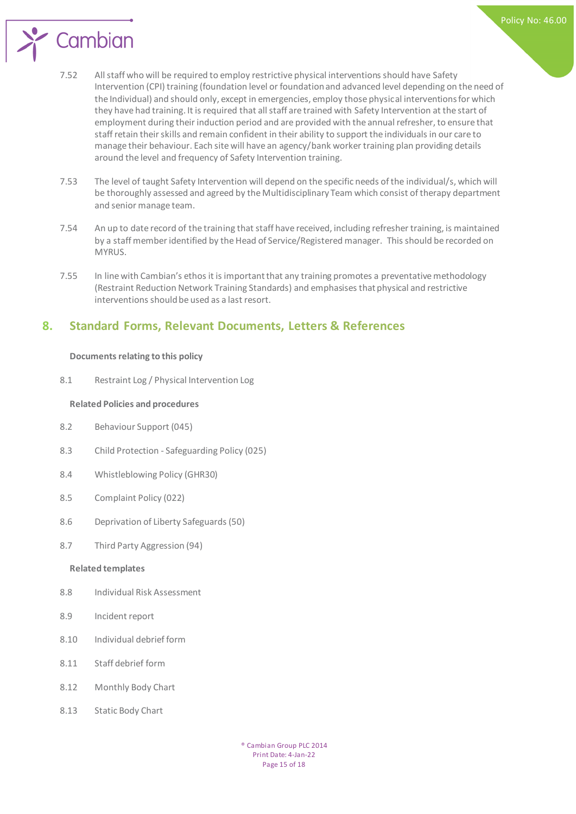

- 7.52 All staff who will be required to employ restrictive physical interventions should have Safety Intervention (CPI) training (foundation level or foundation and advanced level depending on the need of the Individual) and should only, except in emergencies, employ those physical interventions for which they have had training. It is required that all staff are trained with Safety Intervention at the start of employment during their induction period and are provided with the annual refresher, to ensure that staff retain their skills and remain confident in their ability to support the individuals in our care to manage their behaviour. Each site will have an agency/bank worker training plan providing details around the level and frequency of Safety Intervention training.
- 7.53 The level of taught Safety Intervention will depend on the specific needs of the individual/s, which will be thoroughly assessed and agreed by the Multidisciplinary Team which consist of therapy department and senior manage team.
- 7.54 An up to date record of the training that staff have received, including refresher training, is maintained by a staff member identified by the Head of Service/Registered manager. This should be recorded on MYRUS.
- 7.55 In line with Cambian's ethos it is important that any training promotes a preventative methodology (Restraint Reduction Network Training Standards) and emphasises that physical and restrictive interventions should be used as a last resort.

### <span id="page-14-0"></span>**8. Standard Forms, Relevant Documents, Letters & References**

#### **Documents relating to this policy**

8.1 Restraint Log / Physical Intervention Log

#### **Related Policies and procedures**

- 8.2 Behaviour Support (045)
- 8.3 Child Protection Safeguarding Policy (025)
- 8.4 Whistleblowing Policy (GHR30)
- 8.5 Complaint Policy (022)
- 8.6 Deprivation of Liberty Safeguards (50)
- 8.7 Third Party Aggression (94)

#### **Related templates**

- 8.8 Individual Risk Assessment
- 8.9 Incident report
- 8.10 Individual debrief form
- 8.11 Staff debrief form
- 8.12 Monthly Body Chart
- 8.13 Static Body Chart

® Cambian Group PLC 2014 Print Date: 4-Jan-22 Page 15 of 18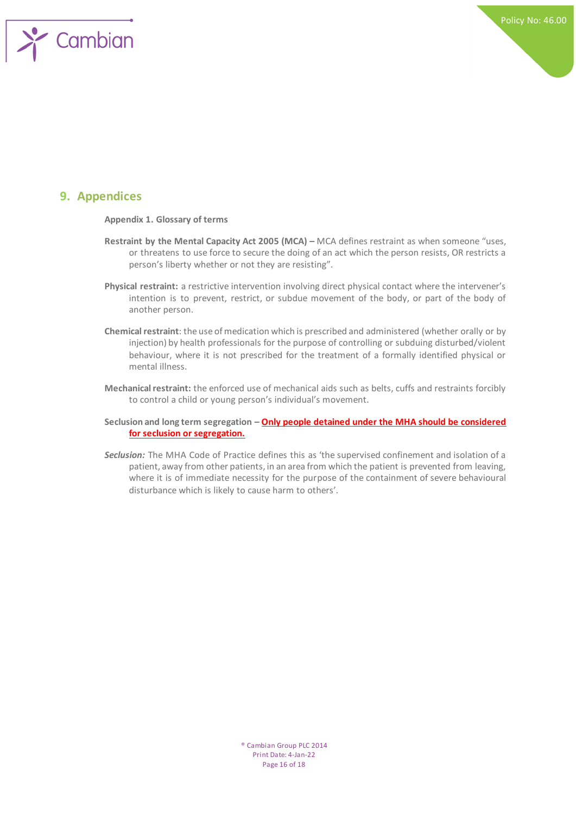

### <span id="page-15-1"></span><span id="page-15-0"></span>**9. Appendices**

#### **Appendix 1. Glossary of terms**

- **Restraint by the Mental Capacity Act 2005 (MCA) MCA defines restraint as when someone "uses,** or threatens to use force to secure the doing of an act which the person resists, OR restricts a person's liberty whether or not they are resisting".
- **Physical restraint:** a restrictive intervention involving direct physical contact where the intervener's intention is to prevent, restrict, or subdue movement of the body, or part of the body of another person.
- **Chemical restraint**: the use of medication which is prescribed and administered (whether orally or by injection) by health professionals for the purpose of controlling or subduing disturbed/violent behaviour, where it is not prescribed for the treatment of a formally identified physical or mental illness.
- **Mechanical restraint:** the enforced use of mechanical aids such as belts, cuffs and restraints forcibly to control a child or young person's individual's movement.

**Seclusion and long term segregation – Only people detained under the MHA should be considered for seclusion or segregation.**

<span id="page-15-2"></span>*Seclusion:* The MHA Code of Practice defines this as 'the supervised confinement and isolation of a patient, away from other patients, in an area from which the patient is prevented from leaving, where it is of immediate necessity for the purpose of the containment of severe behavioural disturbance which is likely to cause harm to others'.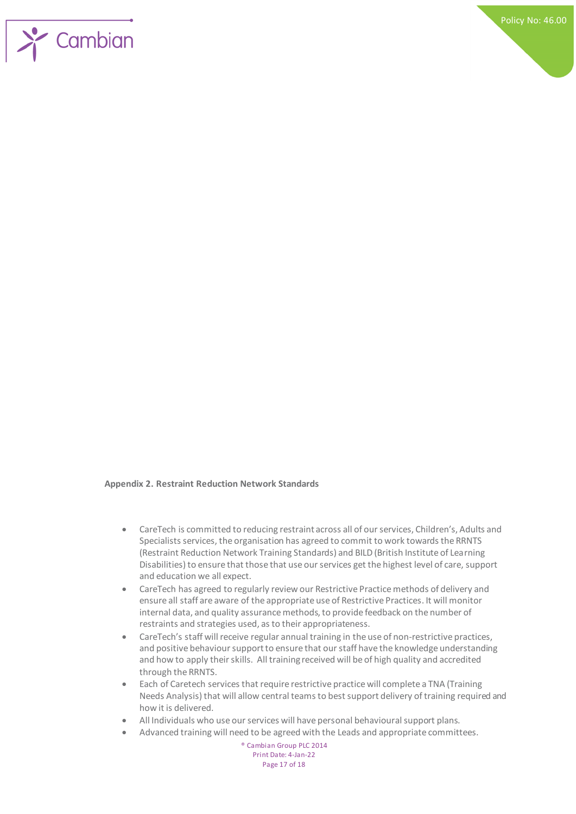

#### **Appendix 2. Restraint Reduction Network Standards**

- CareTech is committed to reducing restraint across all of our services, Children's, Adults and Specialists services, the organisation has agreed to commit to work towards the RRNTS (Restraint Reduction Network Training Standards) and BILD (British Institute of Learning Disabilities) to ensure that those that use our services get the highest level of care, support and education we all expect.
- CareTech has agreed to regularly review our Restrictive Practice methods of delivery and ensure all staff are aware of the appropriate use of Restrictive Practices. It will monitor internal data, and quality assurance methods, to provide feedback on the number of restraints and strategies used, as to their appropriateness.
- CareTech's staff will receive regular annual training in the use of non-restrictive practices, and positive behaviour support to ensure that our staff have the knowledge understanding and how to apply their skills. All training received will be of high quality and accredited through the RRNTS.
- Each of Caretech services that require restrictive practice will complete a TNA (Training Needs Analysis) that will allow central teams to best support delivery of training required and how it is delivered.
- All Individuals who use our services will have personal behavioural support plans.
- Advanced training will need to be agreed with the Leads and appropriate committees.

® Cambian Group PLC 2014 Print Date: 4-Jan-22 Page 17 of 18